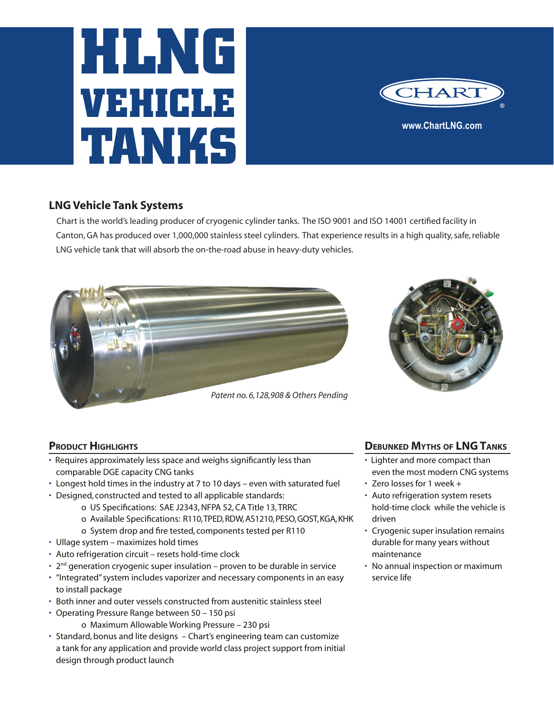# **HLNG VEHICLE TANKS**



## **LNG Vehicle Tank Systems**

 Chart is the world's leading producer of cryogenic cylinder tanks. The ISO 9001 and ISO 14001 certified facility in Canton, GA has produced over 1,000,000 stainless steel cylinders. That experience results in a high quality, safe, reliable LNG vehicle tank that will absorb the on-the-road abuse in heavy-duty vehicles.





#### **PRODUCT HIGHLIGHTS**

- Requires approximately less space and weighs significantly less than comparable DGE capacity CNG tanks
- Longest hold times in the industry at 7 to 10 days even with saturated fuel
- Designed, constructed and tested to all applicable standards:
	- o US Specifications: SAE J2343, NFPA 52, CA Title 13, TRRC
	- o Available Specifications: R110, TPED, RDW, AS1210, PESO, GOST, KGA, KHK
	- o System drop and fire tested, components tested per R110
- Ullage system maximizes hold times
- Auto refrigeration circuit resets hold-time clock
- $\cdot$  2<sup>nd</sup> generation cryogenic super insulation proven to be durable in service
- "Integrated" system includes vaporizer and necessary components in an easy to install package
- Both inner and outer vessels constructed from austenitic stainless steel
- Operating Pressure Range between 50 150 psi
	- o Maximum Allowable Working Pressure 230 psi
- Standard, bonus and lite designs Chart's engineering team can customize a tank for any application and provide world class project support from initial design through product launch

#### **Debunked Myths of LNGTanks**

- Lighter and more compact than even the most modern CNG systems
- Zero losses for 1 week +
- Auto refrigeration system resets hold-time clock while the vehicle is driven
- Cryogenic super insulation remains durable for many years without maintenance
- No annual inspection or maximum service life